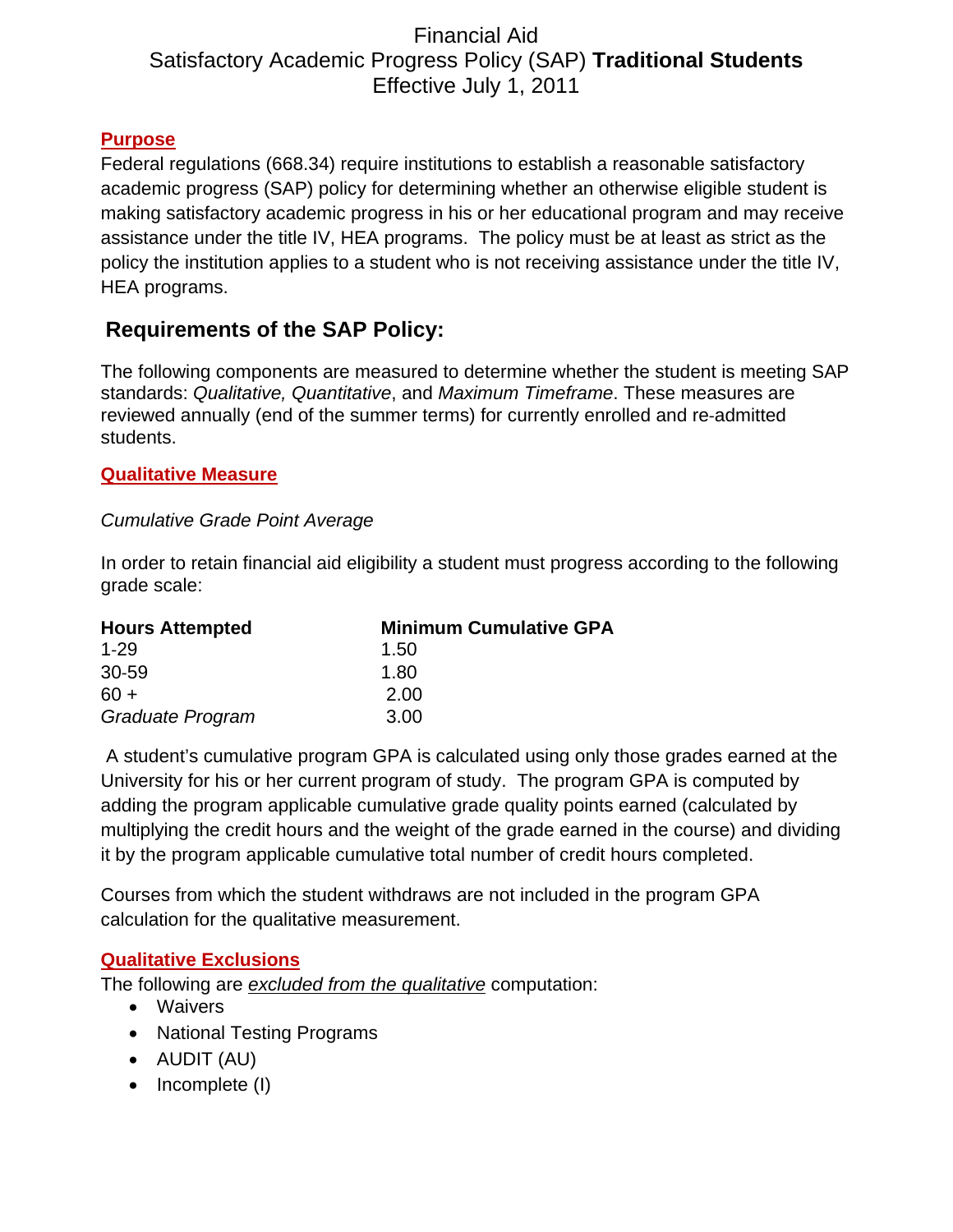# Financial Aid Satisfactory Academic Progress Policy (SAP) **Traditional Students** Effective July 1, 2011

#### **Purpose**

Federal regulations (668.34) require institutions to establish a reasonable satisfactory academic progress (SAP) policy for determining whether an otherwise eligible student is making satisfactory academic progress in his or her educational program and may receive assistance under the title IV, HEA programs. The policy must be at least as strict as the policy the institution applies to a student who is not receiving assistance under the title IV, HEA programs.

# **Requirements of the SAP Policy:**

The following components are measured to determine whether the student is meeting SAP standards: *Qualitative, Quantitative*, and *Maximum Timeframe*. These measures are reviewed annually (end of the summer terms) for currently enrolled and re‐admitted students.

#### **Qualitative Measure**

#### *Cumulative Grade Point Average*

In order to retain financial aid eligibility a student must progress according to the following grade scale:

| <b>Hours Attempted</b> | <b>Minimum Cumulative GPA</b> |
|------------------------|-------------------------------|
| $1 - 29$               | 1.50                          |
| 30-59                  | 1.80                          |
| $60 +$                 | 2.00                          |
| Graduate Program       | 3.00                          |

 A student's cumulative program GPA is calculated using only those grades earned at the University for his or her current program of study. The program GPA is computed by adding the program applicable cumulative grade quality points earned (calculated by multiplying the credit hours and the weight of the grade earned in the course) and dividing it by the program applicable cumulative total number of credit hours completed.

Courses from which the student withdraws are not included in the program GPA calculation for the qualitative measurement.

## **Qualitative Exclusions**

The following are *excluded from the qualitative* computation:

- Waivers
- National Testing Programs
- AUDIT (AU)
- $\bullet$  Incomplete (I)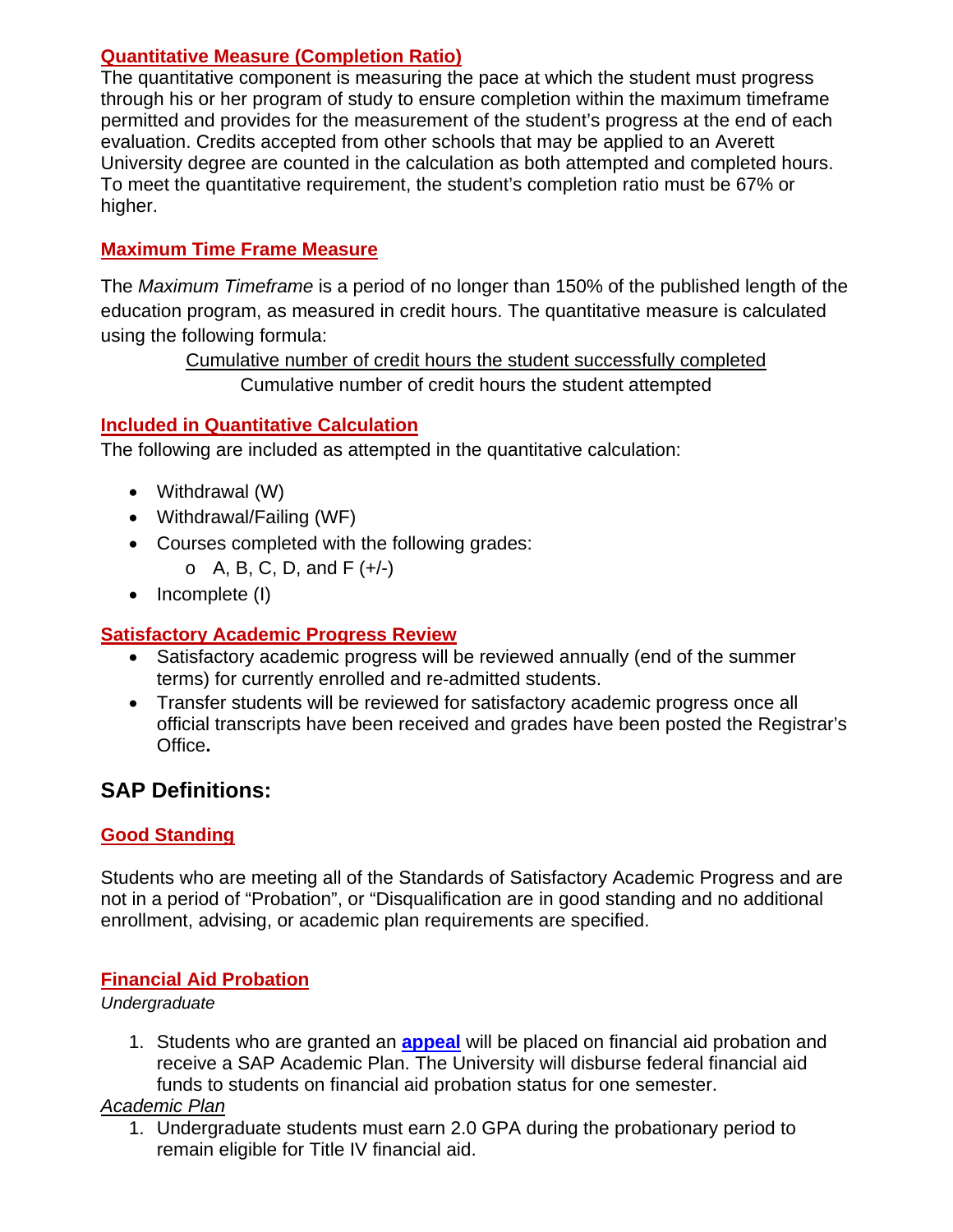#### **Quantitative Measure (Completion Ratio)**

The quantitative component is measuring the pace at which the student must progress through his or her program of study to ensure completion within the maximum timeframe permitted and provides for the measurement of the student's progress at the end of each evaluation. Credits accepted from other schools that may be applied to an Averett University degree are counted in the calculation as both attempted and completed hours. To meet the quantitative requirement, the student's completion ratio must be 67% or higher.

### **Maximum Time Frame Measure**

The *Maximum Timeframe* is a period of no longer than 150% of the published length of the education program, as measured in credit hours. The quantitative measure is calculated using the following formula:

> Cumulative number of credit hours the student successfully completed Cumulative number of credit hours the student attempted

### **Included in Quantitative Calculation**

The following are included as attempted in the quantitative calculation:

- Withdrawal (W)
- Withdrawal/Failing (WF)
- Courses completed with the following grades:
	- $O$  A, B, C, D, and F  $(+/-)$
- $\bullet$  Incomplete (I)

## **Satisfactory Academic Progress Review**

- Satisfactory academic progress will be reviewed annually (end of the summer terms) for currently enrolled and re‐admitted students.
- Transfer students will be reviewed for satisfactory academic progress once all official transcripts have been received and grades have been posted the Registrar's Office**.**

## **SAP Definitions:**

#### **Good Standing**

Students who are meeting all of the Standards of Satisfactory Academic Progress and are not in a period of "Probation", or "Disqualification are in good standing and no additional enrollment, advising, or academic plan requirements are specified.

#### **Financial Aid Probation**

#### *Undergraduate*

1. Students who are granted an **[appeal](http://www.averett.edu/financial-aid/finaidforms/SAP Appeal Form 2011-12 doc .pdf)** will be placed on financial aid probation and receive a SAP Academic Plan. The University will disburse federal financial aid funds to students on financial aid probation status for one semester.

#### *Academic Plan*

1. Undergraduate students must earn 2.0 GPA during the probationary period to remain eligible for Title IV financial aid.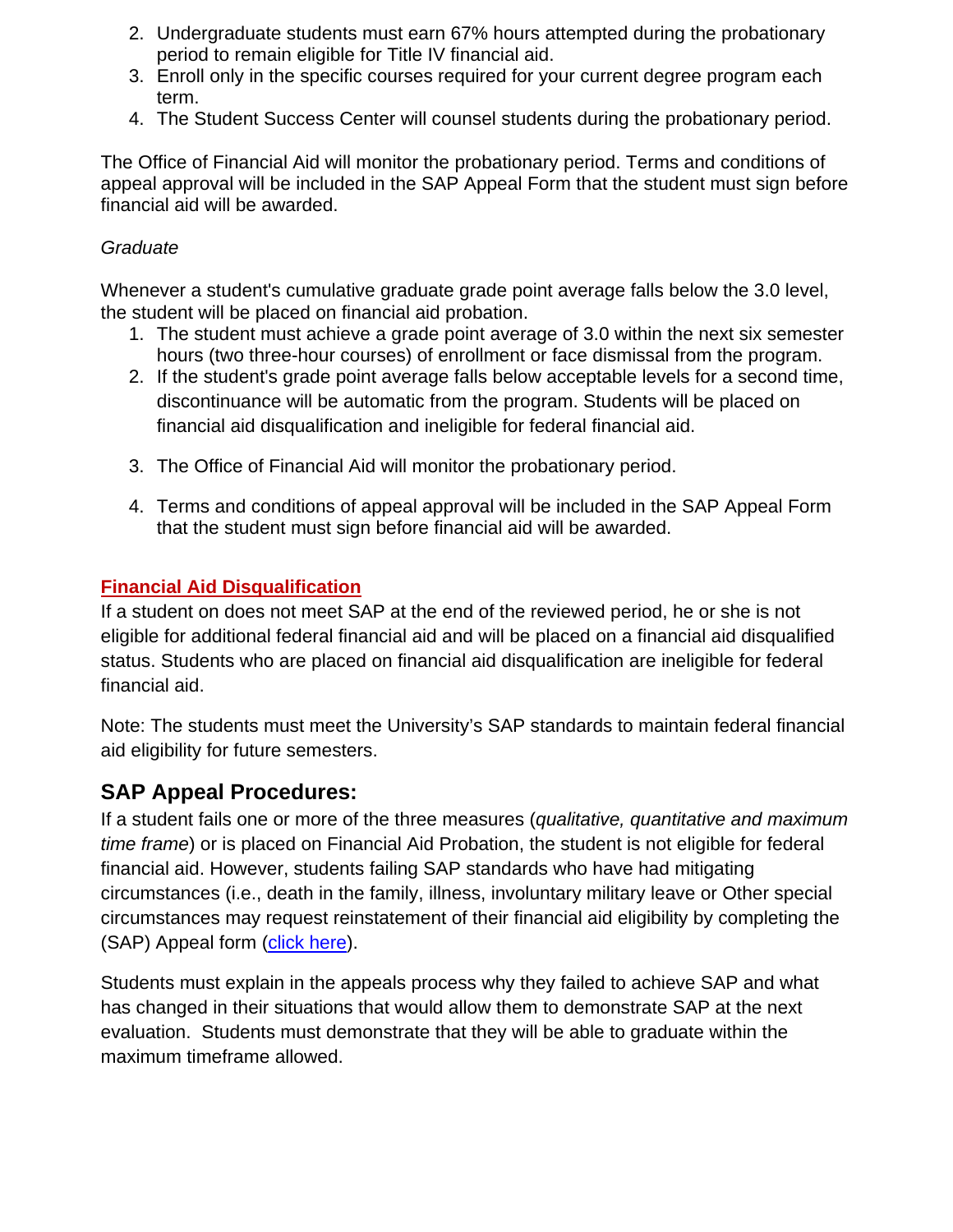- 2. Undergraduate students must earn 67% hours attempted during the probationary period to remain eligible for Title IV financial aid.
- 3. Enroll only in the specific courses required for your current degree program each term.
- 4. The Student Success Center will counsel students during the probationary period.

The Office of Financial Aid will monitor the probationary period. Terms and conditions of appeal approval will be included in the SAP Appeal Form that the student must sign before financial aid will be awarded.

### *Graduate*

Whenever a student's cumulative graduate grade point average falls below the 3.0 level, the student will be placed on financial aid probation.

- 1. The student must achieve a grade point average of 3.0 within the next six semester hours (two three-hour courses) of enrollment or face dismissal from the program.
- 2. If the student's grade point average falls below acceptable levels for a second time, discontinuance will be automatic from the program. Students will be placed on financial aid disqualification and ineligible for federal financial aid.
- 3. The Office of Financial Aid will monitor the probationary period.
- 4. Terms and conditions of appeal approval will be included in the SAP Appeal Form that the student must sign before financial aid will be awarded.

## **Financial Aid Disqualification**

If a student on does not meet SAP at the end of the reviewed period, he or she is not eligible for additional federal financial aid and will be placed on a financial aid disqualified status. Students who are placed on financial aid disqualification are ineligible for federal financial aid.

Note: The students must meet the University's SAP standards to maintain federal financial aid eligibility for future semesters.

# **SAP Appeal Procedures:**

If a student fails one or more of the three measures (*qualitative, quantitative and maximum time frame*) or is placed on Financial Aid Probation, the student is not eligible for federal financial aid. However, students failing SAP standards who have had mitigating circumstances (i.e., death in the family, illness, involuntary military leave or Other special circumstances may request reinstatement of their financial aid eligibility by completing the (SAP) Appeal form [\(click here\)](http://www.averett.edu/financial-aid/finaidforms/SAP Appeal Form 2011-12 doc .pdf).

Students must explain in the appeals process why they failed to achieve SAP and what has changed in their situations that would allow them to demonstrate SAP at the next evaluation. Students must demonstrate that they will be able to graduate within the maximum timeframe allowed.